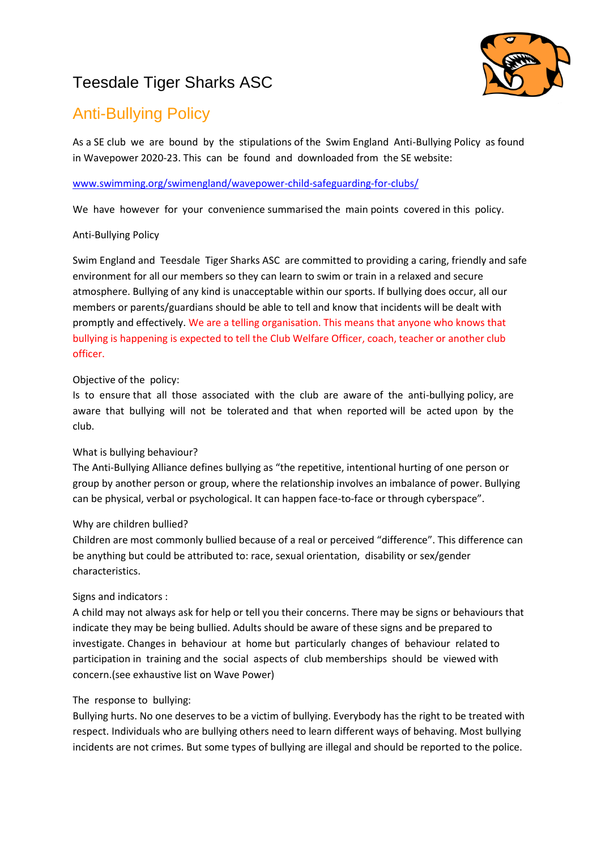# Teesdale Tiger Sharks ASC



## Anti-Bullying Policy

As a SE club we are bound by the stipulations of the Swim England Anti-Bullying Policy as found in Wavepower 2020-23. This can be found and downloaded from the SE website:

[www.swimming.org/swimengland/wavepower-child-safeguarding-for-clubs/](http://www.swimming.org/swimengland/wavepower-child-safeguarding-for-clubs/)

We have however for your convenience summarised the main points covered in this policy.

#### Anti-Bullying Policy

Swim England and Teesdale Tiger Sharks ASC are committed to providing a caring, friendly and safe environment for all our members so they can learn to swim or train in a relaxed and secure atmosphere. Bullying of any kind is unacceptable within our sports. If bullying does occur, all our members or parents/guardians should be able to tell and know that incidents will be dealt with promptly and effectively. We are a telling organisation. This means that anyone who knows that bullying is happening is expected to tell the Club Welfare Officer, coach, teacher or another club officer.

### Objective of the policy:

Is to ensure that all those associated with the club are aware of the anti-bullying policy, are aware that bullying will not be tolerated and that when reported will be acted upon by the club.

#### What is bullying behaviour?

The Anti-Bullying Alliance defines bullying as "the repetitive, intentional hurting of one person or group by another person or group, where the relationship involves an imbalance of power. Bullying can be physical, verbal or psychological. It can happen face-to-face or through cyberspace".

#### Why are children bullied?

Children are most commonly bullied because of a real or perceived "difference". This difference can be anything but could be attributed to: race, sexual orientation, disability or sex/gender characteristics.

#### Signs and indicators :

A child may not always ask for help or tell you their concerns. There may be signs or behaviours that indicate they may be being bullied. Adults should be aware of these signs and be prepared to investigate. Changes in behaviour at home but particularly changes of behaviour related to participation in training and the social aspects of club memberships should be viewed with concern.(see exhaustive list on Wave Power)

### The response to bullying:

Bullying hurts. No one deserves to be a victim of bullying. Everybody has the right to be treated with respect. Individuals who are bullying others need to learn different ways of behaving. Most bullying incidents are not crimes. But some types of bullying are illegal and should be reported to the police.